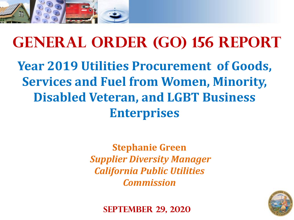

## **General Order (GO) 156 Report Year 2019 Utilities Procurement of Goods, Services and Fuel from Women, Minority, Disabled Veteran, and LGBT Business Enterprises**

**Stephanie Green** *Supplier Diversity Manager California Public Utilities Commission*



**September 29, 2020**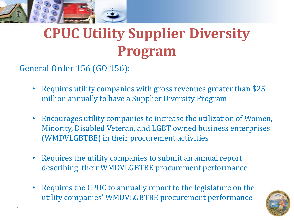

# **CPUC Utility Supplier Diversity Program**

General Order 156 (GO 156):

- Requires utility companies with gross revenues greater than \$25 million annually to have a Supplier Diversity Program
- Encourages utility companies to increase the utilization of Women, Minority, Disabled Veteran, and LGBT owned business enterprises (WMDVLGBTBE) in their procurement activities
- Requires the utility companies to submit an annual report describing their WMDVLGBTBE procurement performance
- Requires the CPUC to annually report to the legislature on the utility companies' WMDVLGBTBE procurement performance

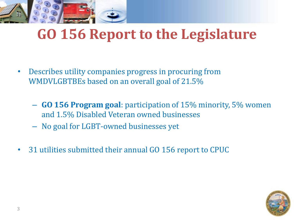

## **GO 156 Report to the Legislature**

- Describes utility companies progress in procuring from WMDVLGBTBEs based on an overall goal of 21.5%
	- **GO 156 Program goal**: participation of 15% minority, 5% women and 1.5% Disabled Veteran owned businesses
	- No goal for LGBT-owned businesses yet
- 31 utilities submitted their annual GO 156 report to CPUC

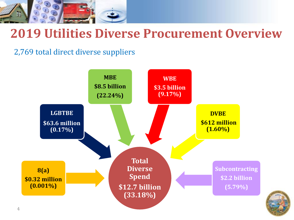

#### **2019 Utilities Diverse Procurement Overview**

2,769 total direct diverse suppliers



4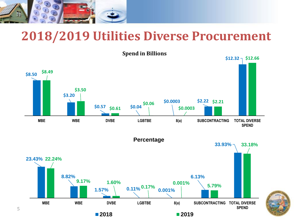

5

#### **2018/2019 Utilities Diverse Procurement**



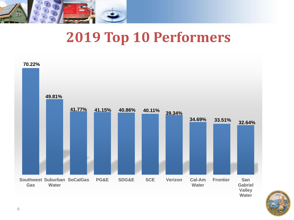

## **2019 Top 10 Performers**



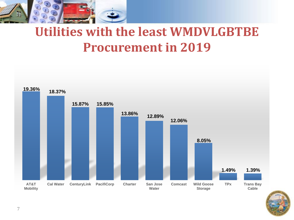

## **Utilities with the least WMDVLGBTBE Procurement in 2019**



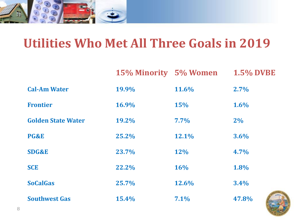

## **Utilities Who Met All Three Goals in 2019**

|                           | 15% Minority 5% Women |            | <b>1.5% DVBE</b> |
|---------------------------|-----------------------|------------|------------------|
| <b>Cal-Am Water</b>       | 19.9%                 | 11.6%      | $2.7\%$          |
| <b>Frontier</b>           | 16.9%                 | <b>15%</b> | 1.6%             |
| <b>Golden State Water</b> | <b>19.2%</b>          | $7.7\%$    | $2\%$            |
| PG&E                      | 25.2%                 | 12.1%      | 3.6%             |
| <b>SDG&amp;E</b>          | 23.7%                 | <b>12%</b> | 4.7%             |
| <b>SCE</b>                | 22.2%                 | <b>16%</b> | 1.8%             |
| <b>SoCalGas</b>           | 25.7%                 | 12.6%      | 3.4%             |
| <b>Southwest Gas</b>      | 15.4%                 | 7.1%       | 47.8%            |